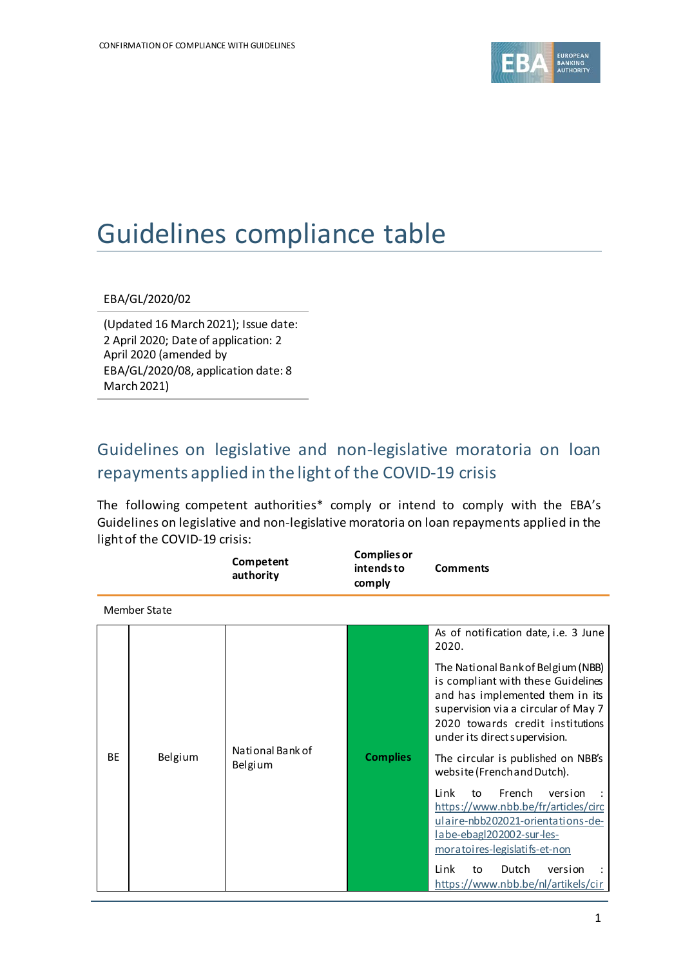

# Guidelines compliance table

## EBA/GL/2020/02

(Updated 16 March2021); Issue date: 2 April 2020; Date of application: 2 April 2020 (amended by EBA/GL/2020/08, application date: 8 March 2021)

# Guidelines on legislative and non-legislative moratoria on loan repayments applied in the light of the COVID-19 crisis

The following competent authorities\* comply or intend to comply with the EBA's Guidelines on legislative and non-legislative moratoria on loan repayments applied in the light of the COVID-19 crisis:

|           |              | Competent<br>authority      | <b>Complies or</b><br>intends to<br>comply | <b>Comments</b>                                                                                                                                                                                                                                                                                                                                                                                                                                                                                                                                                                                    |  |  |
|-----------|--------------|-----------------------------|--------------------------------------------|----------------------------------------------------------------------------------------------------------------------------------------------------------------------------------------------------------------------------------------------------------------------------------------------------------------------------------------------------------------------------------------------------------------------------------------------------------------------------------------------------------------------------------------------------------------------------------------------------|--|--|
|           | Member State |                             |                                            |                                                                                                                                                                                                                                                                                                                                                                                                                                                                                                                                                                                                    |  |  |
| <b>BF</b> | Belgium      | National Bank of<br>Belgium | <b>Complies</b>                            | As of notification date, i.e. 3 June<br>2020.<br>The National Bank of Belgium (NBB)<br>is compliant with these Guidelines<br>and has implemented them in its<br>supervision via a circular of May 7<br>2020 towards credit institutions<br>under its direct supervision.<br>The circular is published on NBB's<br>website (French and Dutch).<br>French<br>Link<br>version<br>to<br>https://www.nbb.be/fr/articles/circ<br>ulaire-nbb202021-orientations-de-<br>labe-ebagl202002-sur-les-<br>moratoires-legislatifs-et-non<br>Link<br>Dutch<br>to<br>version<br>https://www.nbb.be/nl/artikels/cir |  |  |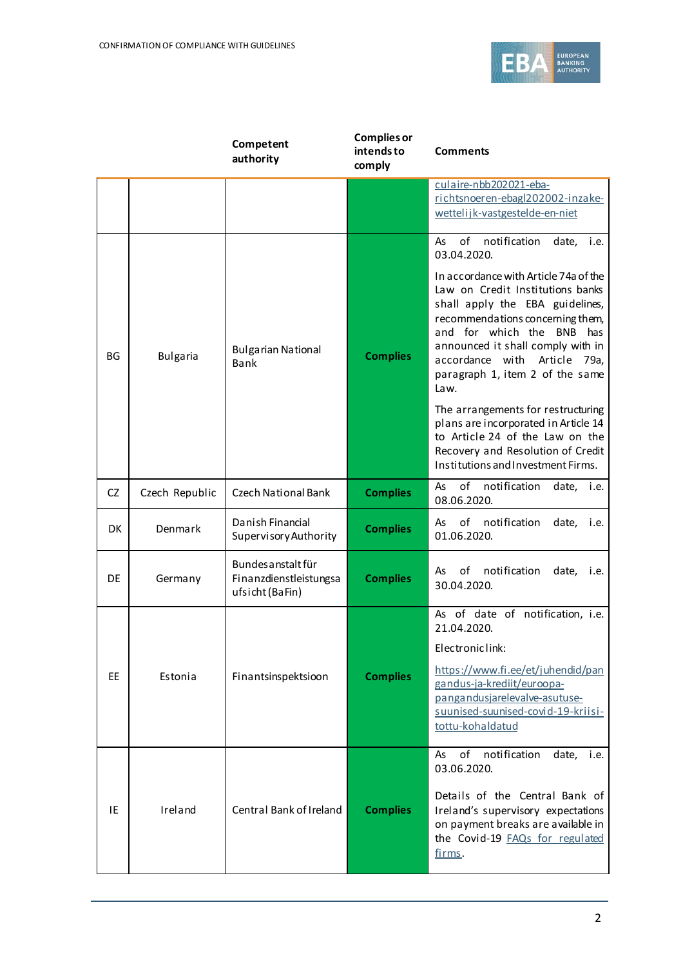

|           |                 | Competent<br>authority                                          | <b>Complies or</b><br>intends to<br>comply | <b>Comments</b>                                                                                                                                                                                                                                                                                                                                                                                                                                                                                              |  |  |
|-----------|-----------------|-----------------------------------------------------------------|--------------------------------------------|--------------------------------------------------------------------------------------------------------------------------------------------------------------------------------------------------------------------------------------------------------------------------------------------------------------------------------------------------------------------------------------------------------------------------------------------------------------------------------------------------------------|--|--|
|           |                 |                                                                 |                                            | culaire-nbb202021-eba-<br>richtsnoeren-ebagl202002-inzake-<br>wettelijk-vastgestelde-en-niet                                                                                                                                                                                                                                                                                                                                                                                                                 |  |  |
| BG        | <b>Bulgaria</b> | <b>Bulgarian National</b><br>Bank                               | <b>Complies</b>                            | notification<br>of<br>As<br>date, i.e.<br>03.04.2020.<br>In accordance with Article 74a of the<br>Law on Credit Institutions banks<br>shall apply the EBA guidelines,<br>recommendations concerning them,<br>and for which the BNB has<br>announced it shall comply with in<br>accordance with Article 79a,<br>paragraph 1, item 2 of the same<br>Law.<br>The arrangements for restructuring<br>plans are incorporated in Article 14<br>to Article 24 of the Law on the<br>Recovery and Resolution of Credit |  |  |
| <b>CZ</b> | Czech Republic  | Czech National Bank                                             | <b>Complies</b>                            | Institutions and Investment Firms.<br>of<br>notification<br>As<br>date, <i>i.e.</i><br>08.06.2020.                                                                                                                                                                                                                                                                                                                                                                                                           |  |  |
| DK        | Denmark         | Danish Financial<br>Supervisory Authority                       | <b>Complies</b>                            | of<br>notification<br>date,<br>As<br>i.e.<br>01.06.2020.                                                                                                                                                                                                                                                                                                                                                                                                                                                     |  |  |
| DE        | Germany         | Bundes anstalt für<br>Finanzdienstleistungsa<br>ufsicht (BaFin) | <b>Complies</b>                            | notification<br>οf<br>date,<br>As<br>i.e.<br>30.04.2020.                                                                                                                                                                                                                                                                                                                                                                                                                                                     |  |  |
| EE.       | Estonia         | Finantsinspektsioon                                             | <b>Complies</b>                            | As of date of notification, i.e.<br>21.04.2020.<br>Electroniclink:<br>https://www.fi.ee/et/juhendid/pan<br>gandus-ja-krediit/euroopa-<br>pangandusjarelevalve-asutuse-<br>suunised-suunised-covid-19-kriisi-<br>tottu-kohaldatud                                                                                                                                                                                                                                                                             |  |  |
| IE        | Ireland         | Central Bank of Ireland                                         | <b>Complies</b>                            | of<br>notification<br>date,<br>As<br>i.e.<br>03.06.2020.<br>Details of the Central Bank of<br>Ireland's supervisory expectations<br>on payment breaks are available in<br>the Covid-19 FAQs for regulated<br>firms.                                                                                                                                                                                                                                                                                          |  |  |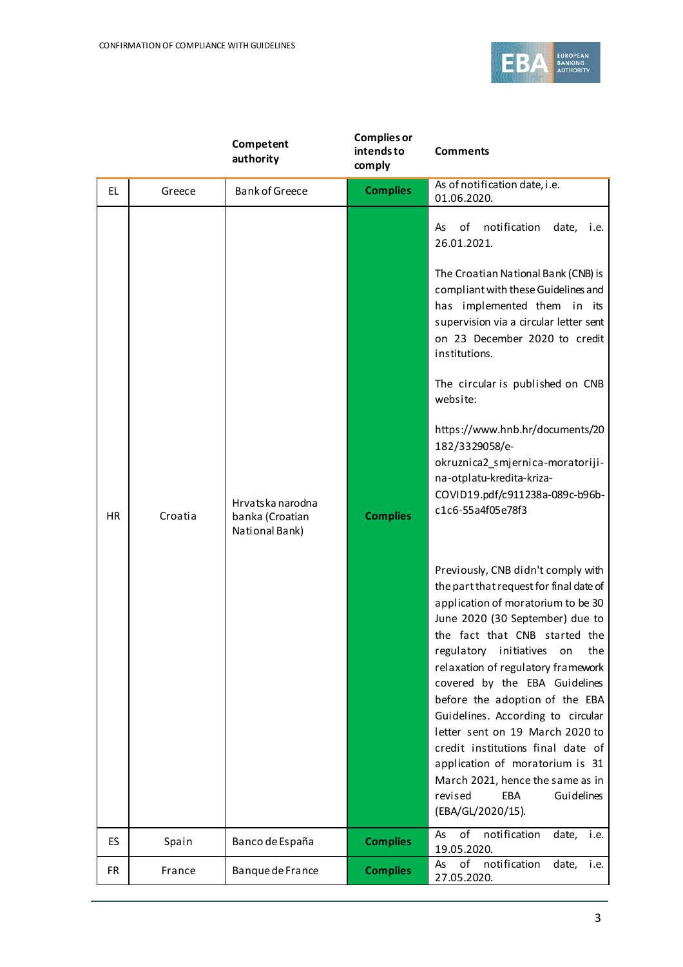

|           |         | Competent<br>authority                                | <b>Complies or</b><br>intends to<br>comply | <b>Comments</b>                                                                                                                                                                                                                                                                                                                                                                                                                                                                                                                                                                                                                                                                                                                                                                                                                                                                                                                                                                                                                                                                  |
|-----------|---------|-------------------------------------------------------|--------------------------------------------|----------------------------------------------------------------------------------------------------------------------------------------------------------------------------------------------------------------------------------------------------------------------------------------------------------------------------------------------------------------------------------------------------------------------------------------------------------------------------------------------------------------------------------------------------------------------------------------------------------------------------------------------------------------------------------------------------------------------------------------------------------------------------------------------------------------------------------------------------------------------------------------------------------------------------------------------------------------------------------------------------------------------------------------------------------------------------------|
| EL        | Greece  | <b>Bank of Greece</b>                                 | <b>Complies</b>                            | As of notification date, i.e.<br>01.06.2020.                                                                                                                                                                                                                                                                                                                                                                                                                                                                                                                                                                                                                                                                                                                                                                                                                                                                                                                                                                                                                                     |
| <b>HR</b> | Croatia | Hrvatska narodna<br>banka (Croatian<br>National Bank) | <b>Complies</b>                            | notification<br>of<br>date,<br>As<br>i.e.<br>26.01.2021.<br>The Croatian National Bank (CNB) is<br>compliant with these Guidelines and<br>has implemented them in its<br>supervision via a circular letter sent<br>on 23 December 2020 to credit<br>institutions.<br>The circular is published on CNB<br>website:<br>https://www.hnb.hr/documents/20<br>182/3329058/e-<br>okruznica2_smjernica-moratoriji-<br>na-otplatu-kredita-kriza-<br>COVID19.pdf/c911238a-089c-b96b-<br>c1c6-55a4f05e78f3<br>Previously, CNB didn't comply with<br>the part that request for final date of<br>application of moratorium to be 30<br>June 2020 (30 September) due to<br>the fact that CNB started the<br>regulatory initiatives on<br>the<br>relaxation of regulatory framework<br>covered by the EBA Guidelines<br>before the adoption of the EBA<br>Guidelines. According to circular<br>letter sent on 19 March 2020 to<br>credit institutions final date of<br>application of moratorium is 31<br>March 2021, hence the same as in<br>revised<br>EBA<br>Guidelines<br>(EBA/GL/2020/15). |
| ES        | Spain   | Banco de España                                       | <b>Complies</b>                            | $\overline{of}$<br>notification<br>As<br>date,<br>i.e.<br>19.05.2020.                                                                                                                                                                                                                                                                                                                                                                                                                                                                                                                                                                                                                                                                                                                                                                                                                                                                                                                                                                                                            |
| <b>FR</b> | France  | Banque de France                                      | <b>Complies</b>                            | of<br>notification<br>date,<br>i.e.<br>As<br>27.05.2020.                                                                                                                                                                                                                                                                                                                                                                                                                                                                                                                                                                                                                                                                                                                                                                                                                                                                                                                                                                                                                         |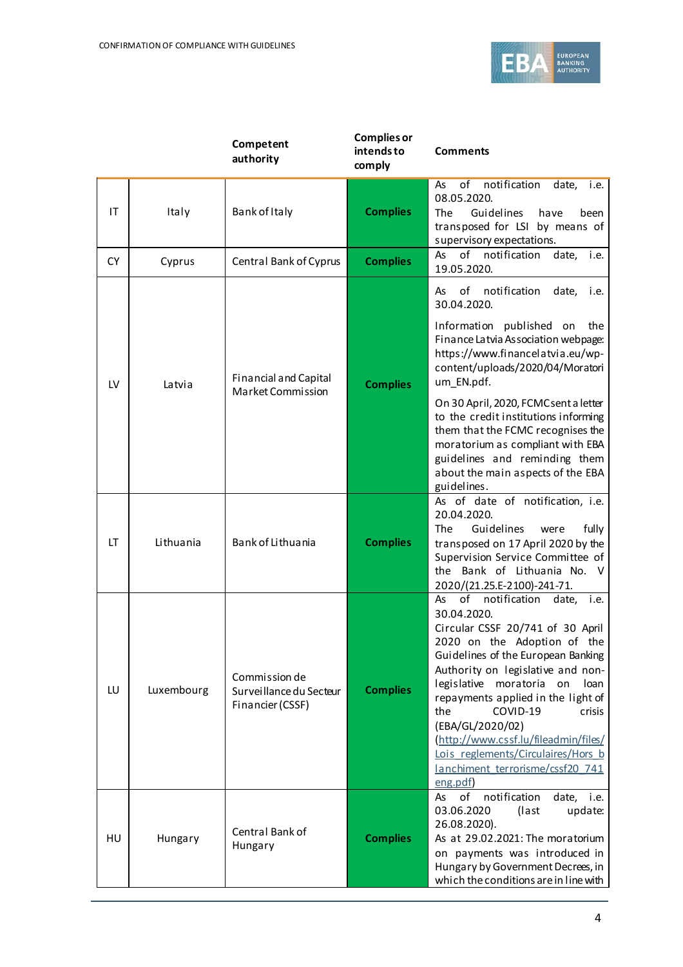

|           |            | Competent<br>authority                                       | <b>Complies or</b><br>intends to<br>comply | <b>Comments</b>                                                                                                                                                                                                                                                                                                                                                                                                                                                 |
|-----------|------------|--------------------------------------------------------------|--------------------------------------------|-----------------------------------------------------------------------------------------------------------------------------------------------------------------------------------------------------------------------------------------------------------------------------------------------------------------------------------------------------------------------------------------------------------------------------------------------------------------|
| IT        | Italy      | Bank of Italy                                                | <b>Complies</b>                            | notification<br>date,<br>As<br>of<br>i.e.<br>08.05.2020.<br>Guidelines<br>The<br>have<br>been<br>transposed for LSI by means of<br>supervisory expectations.                                                                                                                                                                                                                                                                                                    |
| <b>CY</b> | Cyprus     | Central Bank of Cyprus                                       | <b>Complies</b>                            | of notification<br>As<br>date,<br>i.e.<br>19.05.2020.                                                                                                                                                                                                                                                                                                                                                                                                           |
| LV        | Latvia     | <b>Financial and Capital</b><br>Market Commission            | <b>Complies</b>                            | of<br>notification<br>date,<br>As<br>i.e.<br>30.04.2020.<br>Information published on<br>the<br>Finance Latvia Association webpage:<br>https://www.financelatvia.eu/wp-<br>content/uploads/2020/04/Moratori<br>um_EN.pdf.<br>On 30 April, 2020, FCMC sent a letter<br>to the credit institutions informing<br>them that the FCMC recognises the<br>moratorium as compliant with EBA<br>guidelines and reminding them                                             |
| LT        | Lithuania  | Bank of Lithuania                                            | <b>Complies</b>                            | about the main aspects of the EBA<br>guidelines.<br>As of date of notification, i.e.<br>20.04.2020.<br>Guidelines<br><b>The</b><br>fully<br>were<br>transposed on 17 April 2020 by the<br>Supervision Service Committee of<br>the Bank of Lithuania No. V<br>2020/(21.25.E-2100)-241-71.                                                                                                                                                                        |
| LU        | Luxembourg | Commission de<br>Surveillance du Secteur<br>Financier (CSSF) | <b>Complies</b>                            | of<br>notification<br>As<br>date, i.e.<br>30.04.2020.<br>Circular CSSF 20/741 of 30 April<br>2020 on the Adoption of the<br>Guidelines of the European Banking<br>Authority on legislative and non-<br>legislative moratoria<br>loan<br>on<br>repayments applied in the light of<br>the<br>COVID-19<br>crisis<br>(EBA/GL/2020/02)<br>(http://www.cssf.lu/fileadmin/files/<br>Lois reglements/Circulaires/Hors b<br>lanchiment terrorisme/cssf20 741<br>eng.pdf) |
| HU        | Hungary    | Central Bank of<br>Hungary                                   | <b>Complies</b>                            | notification<br>of<br>date,<br>As<br>i.e.<br>03.06.2020<br>(last<br>update:<br>26.08.2020).<br>As at 29.02.2021: The moratorium<br>on payments was introduced in<br>Hungary by Government Decrees, in<br>which the conditions are in line with                                                                                                                                                                                                                  |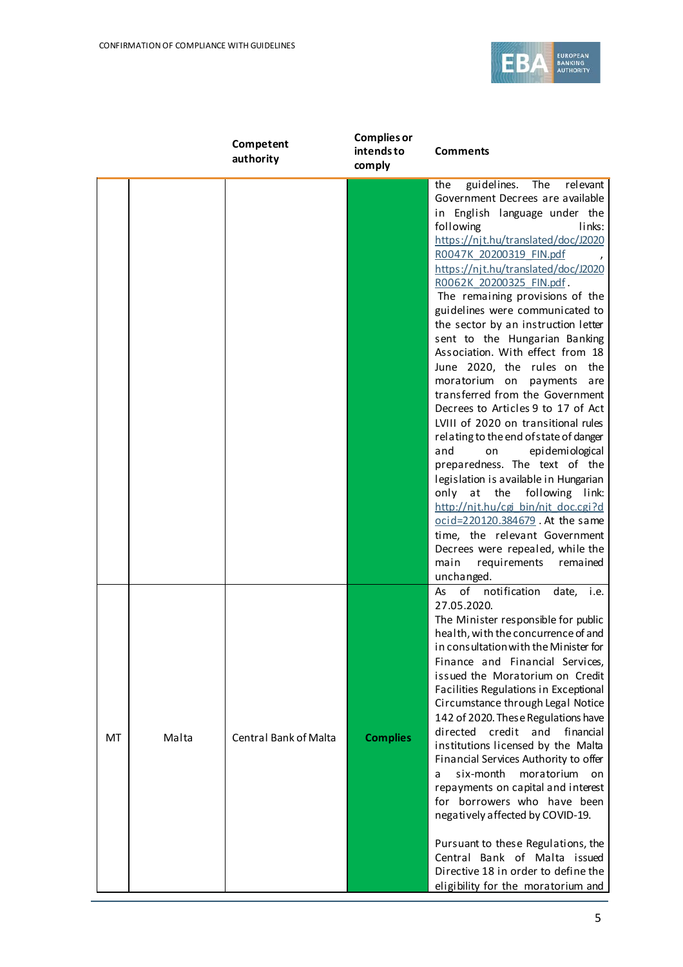

|    |       | Competent<br>authority       | <b>Complies or</b><br>intends to<br>comply | <b>Comments</b>                                                                                                                                                                                                                                                                                                                                                                                                                                                                                                                                                                                                                                                                                                                                                                                                                                                                                                                                                                                                                            |
|----|-------|------------------------------|--------------------------------------------|--------------------------------------------------------------------------------------------------------------------------------------------------------------------------------------------------------------------------------------------------------------------------------------------------------------------------------------------------------------------------------------------------------------------------------------------------------------------------------------------------------------------------------------------------------------------------------------------------------------------------------------------------------------------------------------------------------------------------------------------------------------------------------------------------------------------------------------------------------------------------------------------------------------------------------------------------------------------------------------------------------------------------------------------|
|    |       |                              |                                            | <b>The</b><br>relevant<br>guidelines.<br>the<br>Government Decrees are available<br>in English language under the<br>links:<br>following<br>https://njt.hu/translated/doc/J2020<br>R0047K 20200319 FIN.pdf<br>https://njt.hu/translated/doc/J2020<br>R0062K 20200325 FIN.pdf<br>The remaining provisions of the<br>guidelines were communicated to<br>the sector by an instruction letter<br>sent to the Hungarian Banking<br>Association. With effect from 18<br>June 2020, the rules on the<br>moratorium on<br>payments<br>are<br>transferred from the Government<br>Decrees to Articles 9 to 17 of Act<br>LVIII of 2020 on transitional rules<br>relating to the end of state of danger<br>epi demi ological<br>and<br>on<br>preparedness. The text of the<br>legislation is available in Hungarian<br>following link:<br>only at<br>the<br>http://nit.hu/cgi bin/nit doc.cgi?d<br>ocid=220120.384679. At the same<br>time, the relevant Government<br>Decrees were repealed, while the<br>requirements remained<br>main<br>unchanged. |
| MT | Malta | <b>Central Bank of Malta</b> | <b>Complies</b>                            | of notification<br>date, i.e.<br>As<br>27.05.2020.<br>The Minister responsible for public<br>health, with the concurrence of and<br>in consultation with the Minister for<br>Finance and Financial Services,<br>issued the Moratorium on Credit<br>Facilities Regulations in Exceptional<br>Circumstance through Legal Notice<br>142 of 2020. These Regulations have<br>directed<br>credit<br>and<br>financial<br>institutions licensed by the Malta<br>Financial Services Authority to offer<br>six-month<br>moratorium<br>on on<br>a<br>repayments on capital and interest<br>for borrowers who have been<br>negatively affected by COVID-19.<br>Pursuant to these Regulations, the<br>Central Bank of Malta issued<br>Directive 18 in order to define the<br>eligibility for the moratorium and                                                                                                                                                                                                                                         |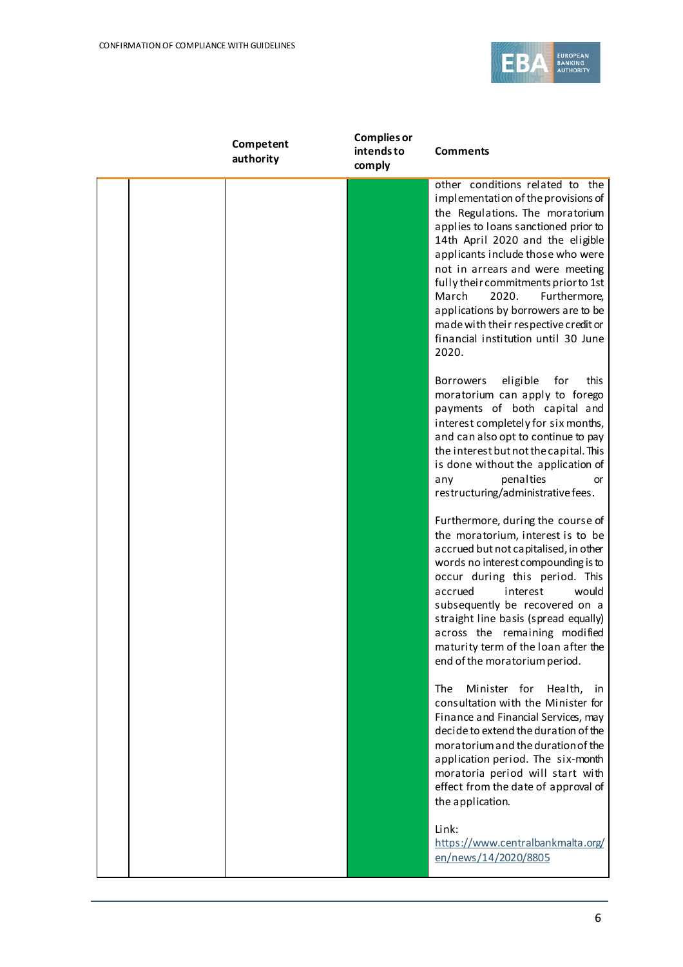

| Competent<br>authority | <b>Complies or</b><br>intends to<br>comply | <b>Comments</b>                                                                                                                                                                                                                                                                                                                                                                                                                                                        |
|------------------------|--------------------------------------------|------------------------------------------------------------------------------------------------------------------------------------------------------------------------------------------------------------------------------------------------------------------------------------------------------------------------------------------------------------------------------------------------------------------------------------------------------------------------|
|                        |                                            | other conditions related to the<br>implementation of the provisions of<br>the Regulations. The moratorium<br>applies to loans sanctioned prior to<br>14th April 2020 and the eligible<br>applicants include those who were<br>not in arrears and were meeting<br>fully their commitments prior to 1st<br>March<br>2020.<br>Furthermore,<br>applications by borrowers are to be<br>made with their respective credit or<br>financial institution until 30 June<br>2020. |
|                        |                                            | eligible<br>for<br>this<br><b>Borrowers</b><br>moratorium can apply to forego<br>payments of both capital and<br>interest completely for six months,<br>and can also opt to continue to pay<br>the interest but not the capital. This<br>is done without the application of<br>penalties<br>any<br>or<br>restructuring/administrative fees.                                                                                                                            |
|                        |                                            | Furthermore, during the course of<br>the moratorium, interest is to be<br>accrued but not capitalised, in other<br>words no interest compounding is to<br>occur during this period. This<br>accrued<br>interest<br>would<br>subsequently be recovered on a<br>straight line basis (spread equally)<br>across the remaining modified<br>maturity term of the loan after the<br>end of the moratorium period.                                                            |
|                        |                                            | Minister for<br>Health,<br>The<br>in.<br>consultation with the Minister for<br>Finance and Financial Services, may<br>decide to extend the duration of the<br>moratorium and the duration of the<br>application period. The six-month<br>moratoria period will start with<br>effect from the date of approval of<br>the application.                                                                                                                                   |
|                        |                                            | Link:<br>https://www.centralbankmalta.org/<br>en/news/14/2020/8805                                                                                                                                                                                                                                                                                                                                                                                                     |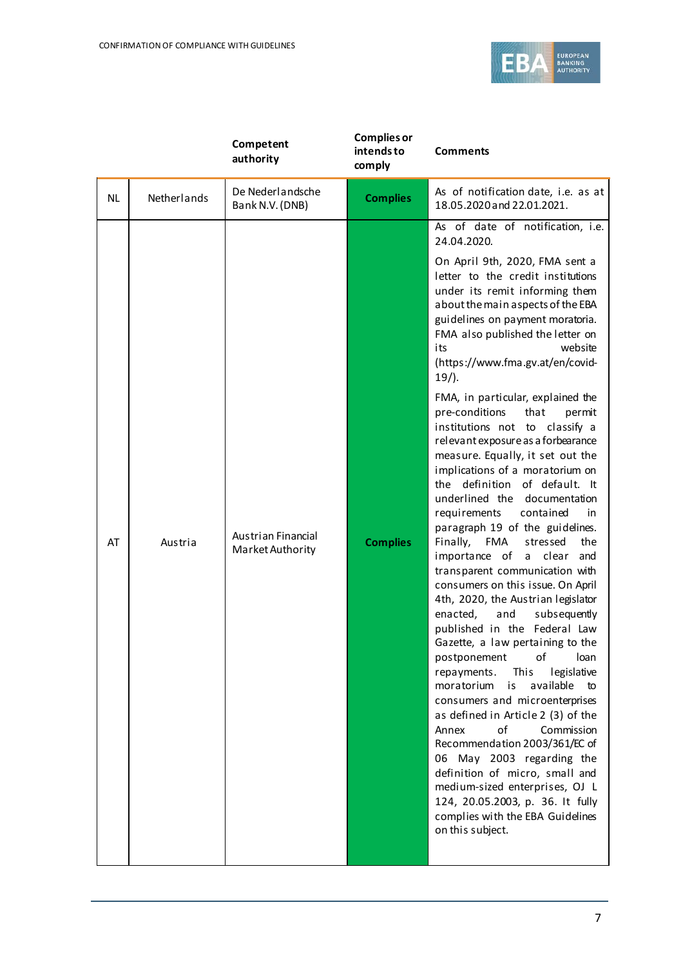

|           |             | Competent<br>authority                 | <b>Complies or</b><br>intends to<br>comply | <b>Comments</b>                                                                                                                                                                                                                                                                                                                                                                                                                                                                                                                                                                                                                                                                                                                                                                                                                                                                                                                                                                                                                                                                                                                                                                                                                                                                                                                                                                                                                     |
|-----------|-------------|----------------------------------------|--------------------------------------------|-------------------------------------------------------------------------------------------------------------------------------------------------------------------------------------------------------------------------------------------------------------------------------------------------------------------------------------------------------------------------------------------------------------------------------------------------------------------------------------------------------------------------------------------------------------------------------------------------------------------------------------------------------------------------------------------------------------------------------------------------------------------------------------------------------------------------------------------------------------------------------------------------------------------------------------------------------------------------------------------------------------------------------------------------------------------------------------------------------------------------------------------------------------------------------------------------------------------------------------------------------------------------------------------------------------------------------------------------------------------------------------------------------------------------------------|
| <b>NL</b> | Netherlands | De Nederlandsche<br>Bank N.V. (DNB)    | <b>Complies</b>                            | As of notification date, i.e. as at<br>18.05.2020 and 22.01.2021.                                                                                                                                                                                                                                                                                                                                                                                                                                                                                                                                                                                                                                                                                                                                                                                                                                                                                                                                                                                                                                                                                                                                                                                                                                                                                                                                                                   |
| AT        | Austria     | Austrian Financial<br>Market Authority | <b>Complies</b>                            | As of date of notification, i.e.<br>24.04.2020.<br>On April 9th, 2020, FMA sent a<br>letter to the credit institutions<br>under its remit informing them<br>about the main aspects of the EBA<br>guidelines on payment moratoria.<br>FMA also published the letter on<br>its<br>website<br>(https://www.fma.gv.at/en/covid-<br>$19/$ ).<br>FMA, in particular, explained the<br>pre-conditions<br>that<br>permit<br>institutions not to classify a<br>relevant exposure as a forbearance<br>measure. Equally, it set out the<br>implications of a moratorium on<br>definition of default. It<br>the<br>underlined the<br>documentation<br>requirements<br>contained<br>in<br>paragraph 19 of the guidelines.<br>Finally,<br>FMA<br>stressed<br>the<br>importance of<br>a clear<br>and<br>transparent communication with<br>consumers on this issue. On April<br>4th, 2020, the Austrian legislator<br>enacted,<br>subsequently<br>and<br>published in the Federal Law<br>Gazette, a law pertaining to the<br>οf<br>loan<br>postponement<br>legislative<br>This<br>repayments.<br>is<br>available<br>moratorium<br>to<br>consumers and microenterprises<br>as defined in Article 2 (3) of the<br>of<br>Commission<br>Annex<br>Recommendation 2003/361/EC of<br>06 May 2003 regarding the<br>definition of micro, small and<br>medium-sized enterprises, OJ L<br>124, 20.05.2003, p. 36. It fully<br>complies with the EBA Guidelines |
|           |             |                                        |                                            | on this subject.                                                                                                                                                                                                                                                                                                                                                                                                                                                                                                                                                                                                                                                                                                                                                                                                                                                                                                                                                                                                                                                                                                                                                                                                                                                                                                                                                                                                                    |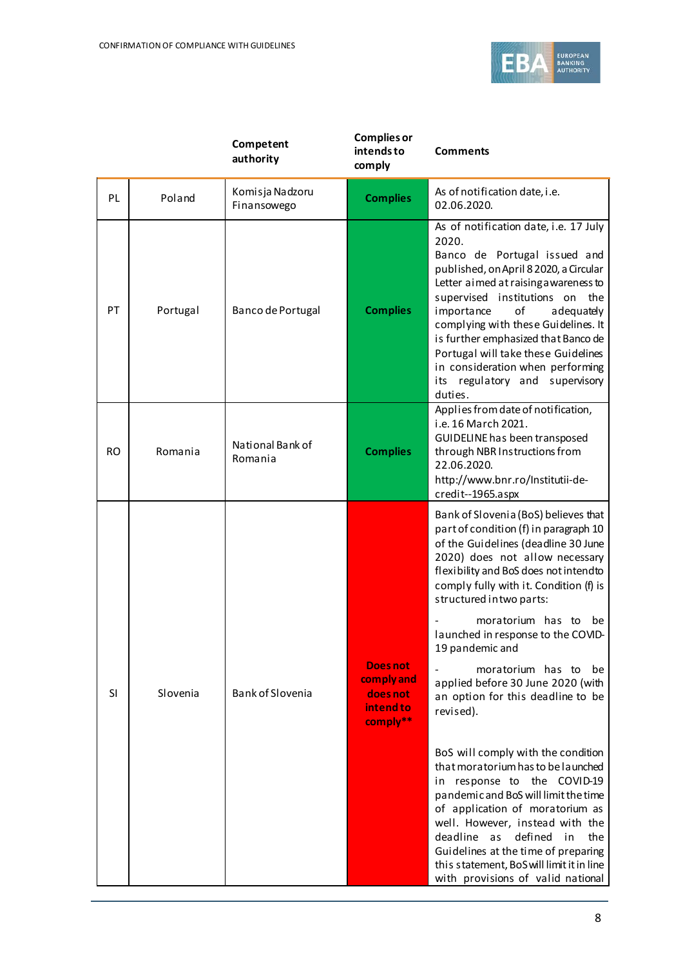

|           |          | Competent<br>authority         | <b>Complies or</b><br>intends to<br>comply                         | <b>Comments</b>                                                                                                                                                                                                                                                                                                                                                                                                                                                                                                                                                                                                                                                                                                                                                                                                                                                |
|-----------|----------|--------------------------------|--------------------------------------------------------------------|----------------------------------------------------------------------------------------------------------------------------------------------------------------------------------------------------------------------------------------------------------------------------------------------------------------------------------------------------------------------------------------------------------------------------------------------------------------------------------------------------------------------------------------------------------------------------------------------------------------------------------------------------------------------------------------------------------------------------------------------------------------------------------------------------------------------------------------------------------------|
| PL        | Poland   | Komisja Nadzoru<br>Finansowego | <b>Complies</b>                                                    | As of notification date, i.e.<br>02.06.2020.                                                                                                                                                                                                                                                                                                                                                                                                                                                                                                                                                                                                                                                                                                                                                                                                                   |
| PT        | Portugal | Banco de Portugal              | <b>Complies</b>                                                    | As of notification date, i.e. 17 July<br>2020.<br>Banco de Portugal issued and<br>published, on April 8 2020, a Circular<br>Letter aimed at raising a wareness to<br>supervised institutions on the<br>of<br>importance<br>adequately<br>complying with these Guidelines. It<br>is further emphasized that Banco de<br>Portugal will take these Guidelines<br>in consideration when performing<br>regulatory and supervisory<br>its<br>duties.                                                                                                                                                                                                                                                                                                                                                                                                                 |
| <b>RO</b> | Romania  | National Bank of<br>Romania    | <b>Complies</b>                                                    | Applies from date of notification,<br>i.e. 16 March 2021.<br>GUIDELINE has been transposed<br>through NBR Instructions from<br>22.06.2020.<br>http://www.bnr.ro/Institutii-de-<br>credit--1965.aspx                                                                                                                                                                                                                                                                                                                                                                                                                                                                                                                                                                                                                                                            |
| SI        | Slovenia | Bank of Slovenia               | <b>Does not</b><br>comply and<br>does not<br>intend to<br>comply** | Bank of Slovenia (BoS) believes that<br>part of condition (f) in paragraph 10<br>of the Guidelines (deadline 30 June<br>2020) does not allow necessary<br>flexibility and BoS does not intendto<br>comply fully with it. Condition (f) is<br>structured in two parts:<br>moratorium has to be<br>launched in response to the COVID-<br>19 pandemic and<br>moratorium has to be<br>applied before 30 June 2020 (with<br>an option for this deadline to be<br>revised).<br>BoS will comply with the condition<br>that moratorium has to be launched<br>in response to the COVID-19<br>pandemic and BoS will limit the time<br>of application of moratorium as<br>well. However, instead with the<br>deadline as<br>defined<br>in<br>the<br>Guidelines at the time of preparing<br>this statement, BoS will limit it in line<br>with provisions of valid national |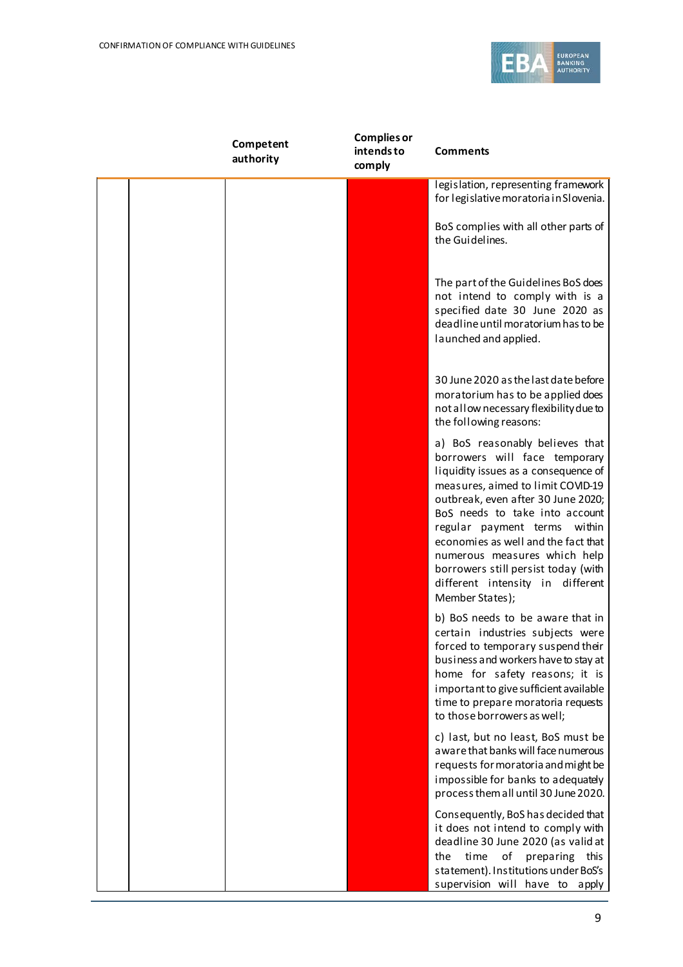

| Competent<br>authority | <b>Complies or</b><br>intends to<br>comply | <b>Comments</b>                                                                                                                                                                                                                                                                                                                                                                                                            |
|------------------------|--------------------------------------------|----------------------------------------------------------------------------------------------------------------------------------------------------------------------------------------------------------------------------------------------------------------------------------------------------------------------------------------------------------------------------------------------------------------------------|
|                        |                                            | legislation, representing framework<br>for legislative moratoria in Slovenia.                                                                                                                                                                                                                                                                                                                                              |
|                        |                                            | BoS complies with all other parts of<br>the Guidelines.                                                                                                                                                                                                                                                                                                                                                                    |
|                        |                                            | The part of the Guidelines BoS does<br>not intend to comply with is a<br>specified date 30 June 2020 as<br>deadline until moratorium has to be<br>launched and applied.                                                                                                                                                                                                                                                    |
|                        |                                            | 30 June 2020 as the last date before<br>moratorium has to be applied does<br>not allow necessary flexibility due to<br>the following reasons:                                                                                                                                                                                                                                                                              |
|                        |                                            | a) BoS reasonably believes that<br>borrowers will face temporary<br>liquidity issues as a consequence of<br>measures, aimed to limit COVID-19<br>outbreak, even after 30 June 2020;<br>BoS needs to take into account<br>regular payment terms within<br>economies as well and the fact that<br>numerous measures which help<br>borrowers still persist today (with<br>different intensity in different<br>Member States); |
|                        |                                            | b) BoS needs to be aware that in<br>certain industries subjects were<br>forced to temporary suspend their<br>business and workers have to stay at<br>home for safety reasons; it is<br>important to give sufficient available<br>time to prepare moratoria requests<br>to those borrowers as well;                                                                                                                         |
|                        |                                            | c) last, but no least, BoS must be<br>aware that banks will face numerous<br>requests for moratoria and might be<br>impossible for banks to adequately<br>process them all until 30 June 2020.                                                                                                                                                                                                                             |
|                        |                                            | Consequently, BoS has decided that<br>it does not intend to comply with<br>deadline 30 June 2020 (as valid at<br>time<br>of<br>preparing this<br>the<br>statement). Institutions under BoS's<br>supervision will have to<br>apply                                                                                                                                                                                          |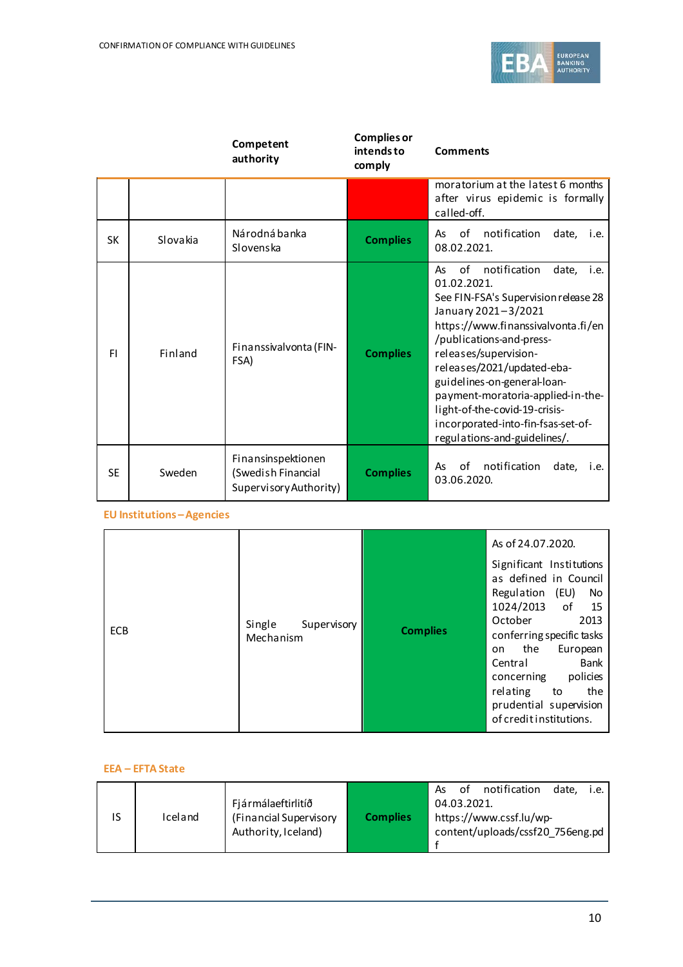

|           |          | Competent<br>authority                                             | <b>Complies or</b><br>intends to<br>comply | <b>Comments</b>                                                                                                                                                                                                                                                                                                                                                                                                             |  |  |
|-----------|----------|--------------------------------------------------------------------|--------------------------------------------|-----------------------------------------------------------------------------------------------------------------------------------------------------------------------------------------------------------------------------------------------------------------------------------------------------------------------------------------------------------------------------------------------------------------------------|--|--|
|           |          |                                                                    |                                            | moratorium at the latest 6 months<br>after virus epidemic is formally<br>called-off.                                                                                                                                                                                                                                                                                                                                        |  |  |
| <b>SK</b> | Slovakia | Národná banka<br>Slovenska                                         | <b>Complies</b>                            | notification<br>of<br>date,<br>As<br>i.e.<br>08.02.2021.                                                                                                                                                                                                                                                                                                                                                                    |  |  |
| FI.       | Finland  | Finanssivalvonta (FIN-<br>FSA)                                     | <b>Complies</b>                            | notification<br>of<br>date,<br>As<br>i.e.<br>01.02.2021.<br>See FIN-FSA's Supervision release 28<br>January 2021-3/2021<br>https://www.finanssivalvonta.fi/en<br>/publications-and-press-<br>releases/supervision-<br>releases/2021/updated-eba-<br>guidelines-on-general-loan-<br>payment-moratoria-applied-in-the-<br>light-of-the-covid-19-crisis-<br>incorporated-into-fin-fsas-set-of-<br>regulations-and-guidelines/. |  |  |
| <b>SE</b> | Sweden   | Finansinspektionen<br>(Swedish Financial<br>Supervisory Authority) | <b>Complies</b>                            | notification<br>οf<br>date,<br>As<br>i.e.<br>03.06.2020.                                                                                                                                                                                                                                                                                                                                                                    |  |  |

#### **EU Institutions –Agencies**

|            |                                    |                 | As of 24.07.2020.<br>Significant Institutions<br>as defined in Council<br>Regulation (EU)<br>No<br>1024/2013 of 15                                                                                |
|------------|------------------------------------|-----------------|---------------------------------------------------------------------------------------------------------------------------------------------------------------------------------------------------|
| <b>ECB</b> | Single<br>Supervisory<br>Mechanism | <b>Complies</b> | October<br>2013<br>conferring specific tasks<br>the<br>European<br>on<br><b>Bank</b><br>Central<br>concerning policies<br>relating to<br>the<br>prudential supervision<br>of credit institutions. |

#### **EEA – EFTA State**

| ١S | Iceland | Fjármálaeftirlitíð<br>(Financial Supervisory<br>Authority, Iceland) | <b>Complies</b> | As | οf<br>04.03.2021. | notification<br>https://www.cssf.lu/wp-<br>content/uploads/cssf20 756eng.pd | date. i.e. |  |
|----|---------|---------------------------------------------------------------------|-----------------|----|-------------------|-----------------------------------------------------------------------------|------------|--|
|    |         |                                                                     |                 |    |                   |                                                                             |            |  |